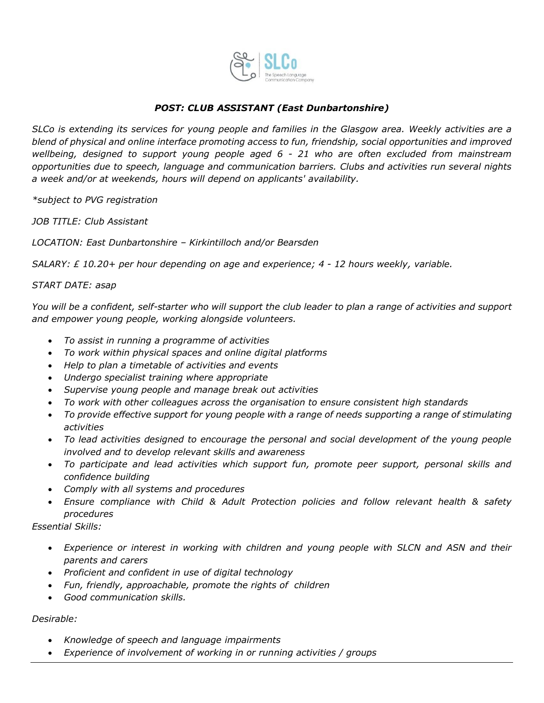

## *POST: CLUB ASSISTANT (East Dunbartonshire)*

*SLCo is extending its services for young people and families in the Glasgow area. Weekly activities are a blend of physical and online interface promoting access to fun, friendship, social opportunities and improved wellbeing, designed to support young people aged 6 - 21 who are often excluded from mainstream opportunities due to speech, language and communication barriers. Clubs and activities run several nights a week and/or at weekends, hours will depend on applicants' availability.* 

*\*subject to PVG registration*

*JOB TITLE: Club Assistant*

*LOCATION: East Dunbartonshire – Kirkintilloch and/or Bearsden*

*SALARY: £ 10.20+ per hour depending on age and experience; 4 - 12 hours weekly, variable.*

## *START DATE: asap*

*You will be a confident, self-starter who will support the club leader to plan a range of activities and support and empower young people, working alongside volunteers.*

- *To assist in running a programme of activities*
- *To work within physical spaces and online digital platforms*
- *Help to plan a timetable of activities and events*
- *Undergo specialist training where appropriate*
- *Supervise young people and manage break out activities*
- *To work with other colleagues across the organisation to ensure consistent high standards*
- *To provide effective support for young people with a range of needs supporting a range of stimulating activities*
- *To lead activities designed to encourage the personal and social development of the young people involved and to develop relevant skills and awareness*
- *To participate and lead activities which support fun, promote peer support, personal skills and confidence building*
- *Comply with all systems and procedures*
- *Ensure compliance with Child & Adult Protection policies and follow relevant health & safety procedures*

*Essential Skills:*

- *Experience or interest in working with children and young people with SLCN and ASN and their parents and carers*
- *Proficient and confident in use of digital technology*
- *Fun, friendly, approachable, promote the rights of children*
- *Good communication skills.*

## *Desirable:*

- *Knowledge of speech and language impairments*
- *Experience of involvement of working in or running activities / groups*